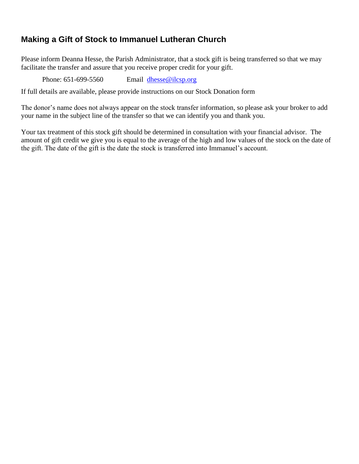## **Making a Gift of Stock to Immanuel Lutheran Church**

Please inform Deanna Hesse, the Parish Administrator, that a stock gift is being transferred so that we may facilitate the transfer and assure that you receive proper credit for your gift.

Phone: 651-699-5560 Email [dhesse@ilcsp.org](mailto:dhesse@ilcsp.org)

If full details are available, please provide instructions on our Stock Donation form

The donor's name does not always appear on the stock transfer information, so please ask your broker to add your name in the subject line of the transfer so that we can identify you and thank you.

Your tax treatment of this stock gift should be determined in consultation with your financial advisor. The amount of gift credit we give you is equal to the average of the high and low values of the stock on the date of the gift. The date of the gift is the date the stock is transferred into Immanuel's account.